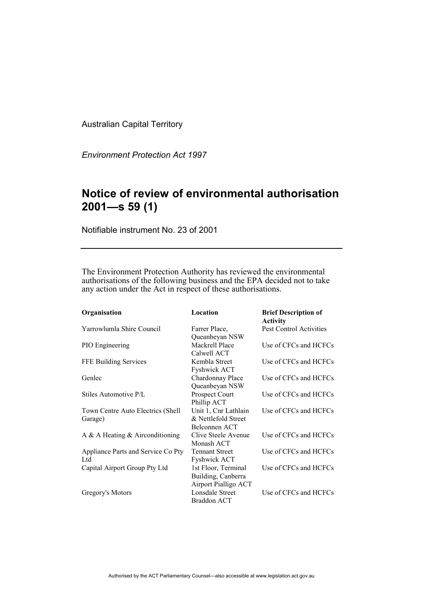Australian Capital Territory

*Environment Protection Act 1997*

## **Notice of review of environmental authorisation 2001—s 59 (1)**

Notifiable instrument No. 23 of 2001

The Environment Protection Authority has reviewed the environmental authorisations of the following business and the EPA decided not to take any action under the Act in respect of these authorisations.

| Organisation                                 | Location                                                          | <b>Brief Description of</b><br><b>Activity</b> |
|----------------------------------------------|-------------------------------------------------------------------|------------------------------------------------|
| Yarrowlumla Shire Council                    | Farrer Place,<br>Queanbeyan NSW                                   | Pest Control Activities                        |
| PIO Engineering                              | <b>Mackrell Place</b><br>Calwell ACT                              | Use of CFCs and HCFCs                          |
| FFE Building Services                        | Kembla Street<br>Fyshwick ACT                                     | Use of CFCs and HCFCs                          |
| Genlec                                       | Chardonnay Place<br>Queanbeyan NSW                                | Use of CFCs and HCFCs                          |
| Stiles Automotive P/L                        | Prospect Court<br>Phillip ACT                                     | Use of CFCs and HCFCs                          |
| Town Centre Auto Electrics (Shell<br>Garage) | Unit 1, Cnr Lathlain<br>& Nettlefold Street<br>Belconnen ACT      | Use of CFCs and HCFCs                          |
| A & A Heating $&$ Airconditioning            | Clive Steele Avenue<br>Monash ACT                                 | Use of CFCs and HCFCs                          |
| Appliance Parts and Service Co Pty<br>Ltd    | <b>Tennant Street</b><br><b>Fyshwick ACT</b>                      | Use of CFCs and HCFCs                          |
| Capital Airport Group Pty Ltd                | 1st Floor, Terminal<br>Building, Canberra<br>Airport Pialligo ACT | Use of CFCs and HCFCs                          |
| Gregory's Motors                             | Lonsdale Street<br><b>Braddon ACT</b>                             | Use of CFCs and HCFCs                          |